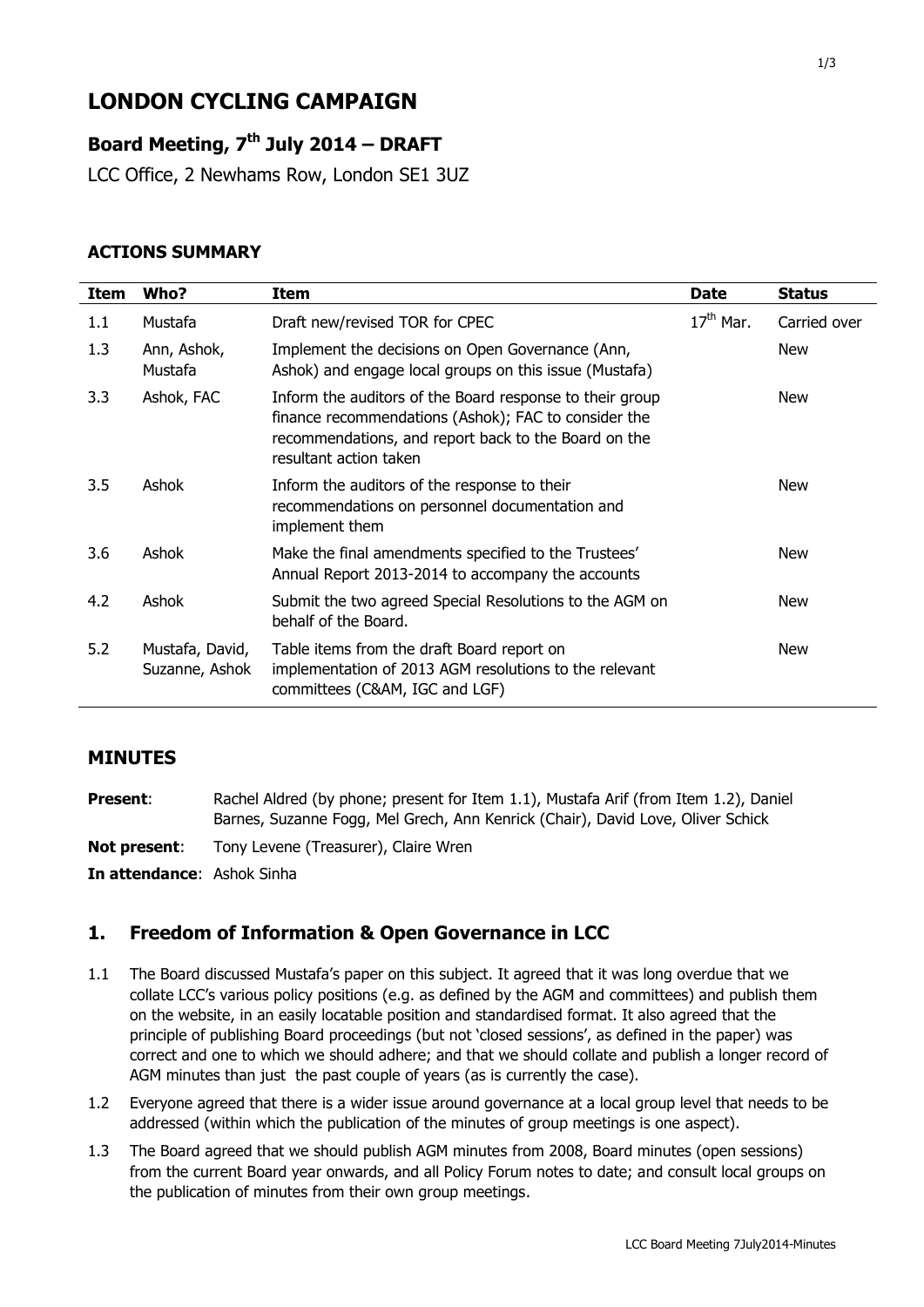# **LONDON CYCLING CAMPAIGN**

# **Board Meeting, 7 th July 2014 – DRAFT**

LCC Office, 2 Newhams Row, London SE1 3UZ

### **ACTIONS SUMMARY**

| <b>Item</b> | Who?                              | Item                                                                                                                                                                                               | <b>Date</b> | <b>Status</b> |
|-------------|-----------------------------------|----------------------------------------------------------------------------------------------------------------------------------------------------------------------------------------------------|-------------|---------------|
| 1.1         | Mustafa                           | Draft new/revised TOR for CPEC                                                                                                                                                                     | $17th$ Mar. | Carried over  |
| 1.3         | Ann, Ashok,<br>Mustafa            | Implement the decisions on Open Governance (Ann,<br>Ashok) and engage local groups on this issue (Mustafa)                                                                                         |             | <b>New</b>    |
| 3.3         | Ashok, FAC                        | Inform the auditors of the Board response to their group<br>finance recommendations (Ashok); FAC to consider the<br>recommendations, and report back to the Board on the<br>resultant action taken |             | <b>New</b>    |
| 3.5         | Ashok                             | Inform the auditors of the response to their<br>recommendations on personnel documentation and<br>implement them                                                                                   |             | New           |
| 3.6         | Ashok                             | Make the final amendments specified to the Trustees'<br>Annual Report 2013-2014 to accompany the accounts                                                                                          |             | <b>New</b>    |
| 4.2         | Ashok                             | Submit the two agreed Special Resolutions to the AGM on<br>behalf of the Board.                                                                                                                    |             | New           |
| 5.2         | Mustafa, David,<br>Suzanne, Ashok | Table items from the draft Board report on<br>implementation of 2013 AGM resolutions to the relevant<br>committees (C&AM, IGC and LGF)                                                             |             | New           |

#### **MINUTES**

**Present:** Rachel Aldred (by phone; present for Item 1.1), Mustafa Arif (from Item 1.2), Daniel Barnes, Suzanne Fogg, Mel Grech, Ann Kenrick (Chair), David Love, Oliver Schick

**Not present:** Tony Levene (Treasurer), Claire Wren

**In attendance**: Ashok Sinha

### **1. Freedom of Information & Open Governance in LCC**

- 1.1 The Board discussed Mustafa's paper on this subject. It agreed that it was long overdue that we collate LCC's various policy positions (e.g. as defined by the AGM and committees) and publish them on the website, in an easily locatable position and standardised format. It also agreed that the principle of publishing Board proceedings (but not 'closed sessions', as defined in the paper) was correct and one to which we should adhere; and that we should collate and publish a longer record of AGM minutes than just the past couple of years (as is currently the case).
- 1.2 Everyone agreed that there is a wider issue around governance at a local group level that needs to be addressed (within which the publication of the minutes of group meetings is one aspect).
- 1.3 The Board agreed that we should publish AGM minutes from 2008, Board minutes (open sessions) from the current Board year onwards, and all Policy Forum notes to date; and consult local groups on the publication of minutes from their own group meetings.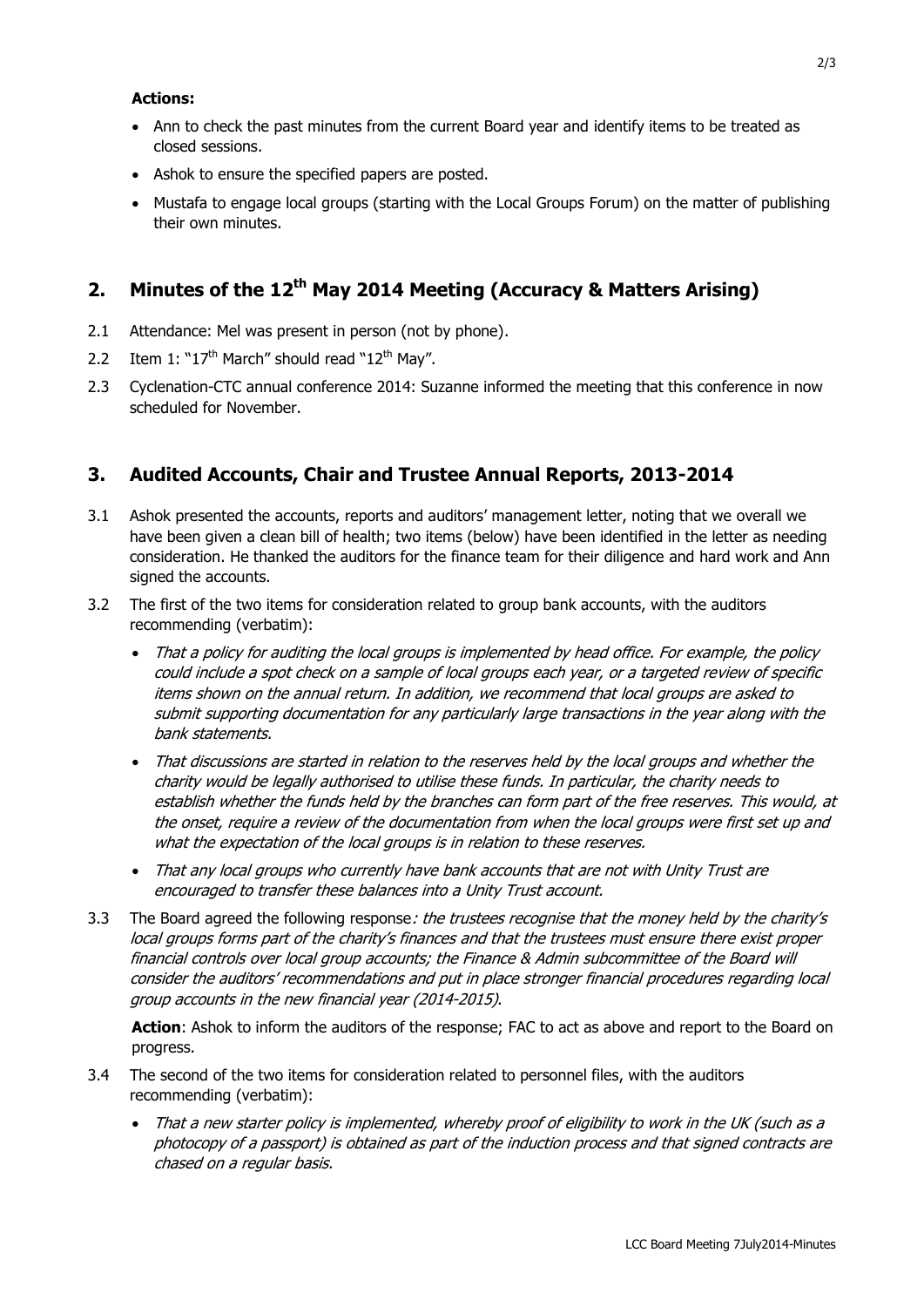#### **Actions:**

- Ann to check the past minutes from the current Board year and identify items to be treated as closed sessions.
- Ashok to ensure the specified papers are posted.
- Mustafa to engage local groups (starting with the Local Groups Forum) on the matter of publishing their own minutes.

## **2. Minutes of the 12 th May 2014 Meeting (Accuracy & Matters Arising)**

- 2.1 Attendance: Mel was present in person (not by phone).
- 2.2 Item 1: " $17<sup>th</sup>$  March" should read " $12<sup>th</sup>$  May".
- 2.3 Cyclenation-CTC annual conference 2014: Suzanne informed the meeting that this conference in now scheduled for November.

### **3. Audited Accounts, Chair and Trustee Annual Reports, 2013-2014**

- 3.1 Ashok presented the accounts, reports and auditors' management letter, noting that we overall we have been given a clean bill of health; two items (below) have been identified in the letter as needing consideration. He thanked the auditors for the finance team for their diligence and hard work and Ann signed the accounts.
- 3.2 The first of the two items for consideration related to group bank accounts, with the auditors recommending (verbatim):
	- That a policy for auditing the local groups is implemented by head office. For example, the policy could include a spot check on a sample of local groups each year, or a targeted review of specific items shown on the annual return. In addition, we recommend that local groups are asked to submit supporting documentation for any particularly large transactions in the year along with the bank statements.
	- That discussions are started in relation to the reserves held by the local groups and whether the charity would be legally authorised to utilise these funds. In particular, the charity needs to establish whether the funds held by the branches can form part of the free reserves. This would, at the onset, require a review of the documentation from when the local groups were first set up and what the expectation of the local groups is in relation to these reserves.
	- That any local groups who currently have bank accounts that are not with Unity Trust are encouraged to transfer these balances into a Unity Trust account.
- 3.3 The Board agreed the following response: the trustees recognise that the money held by the charity's local groups forms part of the charity's finances and that the trustees must ensure there exist proper financial controls over local group accounts; the Finance & Admin subcommittee of the Board will consider the auditors' recommendations and put in place stronger financial procedures regarding local group accounts in the new financial year (2014-2015).

**Action**: Ashok to inform the auditors of the response; FAC to act as above and report to the Board on progress.

- 3.4 The second of the two items for consideration related to personnel files, with the auditors recommending (verbatim):
	- That a new starter policy is implemented, whereby proof of eligibility to work in the UK (such as a photocopy of a passport) is obtained as part of the induction process and that signed contracts are chased on a regular basis.